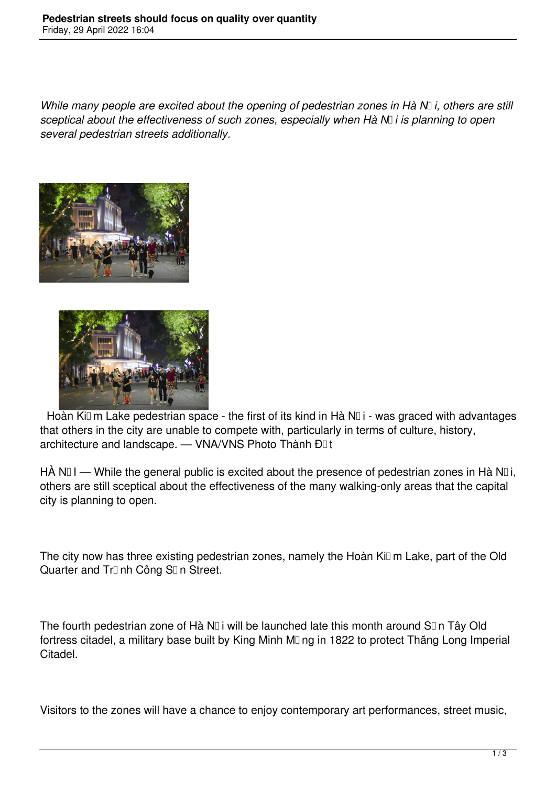*While many people are excited about the opening of pedestrian zones in Hà N*D*i*, others are still *sceptical about the effectiveness of such zones, especially when Hà Nội is planning to open several pedestrian streets additionally.*





Hoàn Kiūm Lake pedestrian space - the first of its kind in Hà Nūi - was graced with advantages that others in the city are unable to compete with, particularly in terms of culture, history, architecture and landscape. - VNA/VNS Photo Thành Đ<sub>I</sub>t

HÀ N $\Box$ I — While the general public is excited about the presence of pedestrian zones in Hà N $\Box$ i, others are still sceptical about the effectiveness of the many walking-only areas that the capital city is planning to open.

The city now has three existing pedestrian zones, namely the Hoàn Kiūm Lake, part of the Old Quarter and Tr<sub>미</sub>nh Công S<sub>I</sub>n Street.

The fourth pedestrian zone of Hà N $\Box$  i will be launched late this month around S $\Box$  n Tây Old fortress citadel, a military base built by King Minh M<sub>ng</sub> in 1822 to protect Thăng Long Imperial Citadel.

Visitors to the zones will have a chance to enjoy contemporary art performances, street music,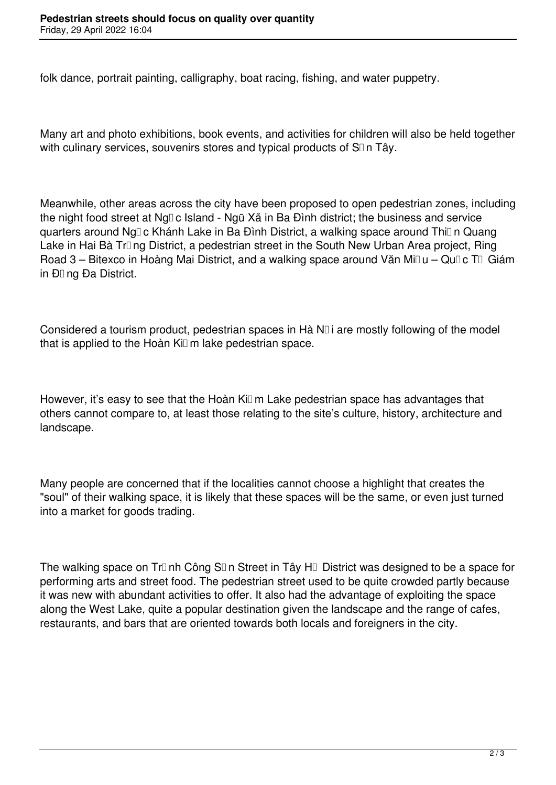folk dance, portrait painting, calligraphy, boat racing, fishing, and water puppetry.

Many art and photo exhibitions, book events, and activities for children will also be held together with culinary services, souvenirs stores and typical products of  $SI$  n Tây.

Meanwhile, other areas across the city have been proposed to open pedestrian zones, including the night food street at Ng<sub>D</sub> c Island - Ngũ Xã in Ba Đình district; the business and service guarters around Ng<sub>D</sub> c Khánh Lake in Ba Đình District, a walking space around Thi<sub>D</sub>n Quang Lake in Hai Bà Tr<sub>I</sub> ng District, a pedestrian street in the South New Urban Area project, Ring Road 3 – Bitexco in Hoàng Mai District, and a walking space around Văn Mi $\mathbb{U}$ u – Qu $\mathbb{I}$ c T $\mathbb{U}$  Giám in Đūng Đa District.

Considered a tourism product, pedestrian spaces in Hà  $N\Box$  i are mostly following of the model that is applied to the Hoàn  $Ki \Box m$  lake pedestrian space.

However, it's easy to see that the Hoàn Ki $\Box$  m Lake pedestrian space has advantages that others cannot compare to, at least those relating to the site's culture, history, architecture and landscape.

Many people are concerned that if the localities cannot choose a highlight that creates the "soul" of their walking space, it is likely that these spaces will be the same, or even just turned into a market for goods trading.

The walking space on Tr<sub>II</sub> nh Công S<sub>II</sub> n Street in Tây H<sub>II</sub> District was designed to be a space for performing arts and street food. The pedestrian street used to be quite crowded partly because it was new with abundant activities to offer. It also had the advantage of exploiting the space along the West Lake, quite a popular destination given the landscape and the range of cafes, restaurants, and bars that are oriented towards both locals and foreigners in the city.